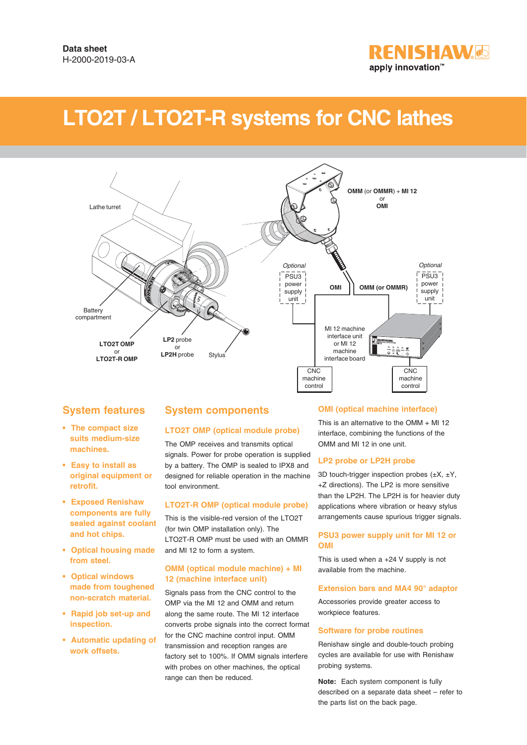

# **LTO2T / LTO2T-R systems for CNC lathes**



# **System features**

- **The compact size suits medium-size machines.**
- **Easy to install as original equipment or retrofit.**
- **Exposed Renishaw components are fully sealed against coolant and hot chips.**
- **Optical housing made from steel.**
- **Optical windows made from toughened non-scratch material.**
- **Rapid job set-up and inspection.**
- **Automatic updating of work offsets.**

## **System components**

## **LTO2T OMP (optical module probe)**

The OMP receives and transmits optical signals. Power for probe operation is supplied by a battery. The OMP is sealed to IPX8 and designed for reliable operation in the machine tool environment.

#### **LTO2T-R OMP (optical module probe)**

This is the visible-red version of the LTO2T (for twin OMP installation only). The LTO2T-R OMP must be used with an OMMR and MI 12 to form a system.

#### **OMM (optical module machine) + MI 12 (machine interface unit)**

Signals pass from the CNC control to the OMP via the MI 12 and OMM and return along the same route. The MI 12 interface converts probe signals into the correct format for the CNC machine control input. OMM transmission and reception ranges are factory set to 100%. If OMM signals interfere with probes on other machines, the optical range can then be reduced.

## **OMI (optical machine interface)**

This is an alternative to the OMM + MI 12 interface, combining the functions of the OMM and MI 12 in one unit.

#### **LP2 probe or LP2H probe**

3D touch-trigger inspection probes  $(\pm X, \pm Y, \pm Y)$ +Z directions). The LP2 is more sensitive than the LP2H. The LP2H is for heavier duty applications where vibration or heavy stylus arrangements cause spurious trigger signals.

#### **PSU3 power supply unit for MI 12 or OMI**

This is used when a +24 V supply is not available from the machine.

#### **Extension bars and MA4 90° adaptor**

Accessories provide greater access to workpiece features.

#### **Software for probe routines**

Renishaw single and double-touch probing cycles are available for use with Renishaw probing systems.

**Note:** Each system component is fully described on a separate data sheet – refer to the parts list on the back page.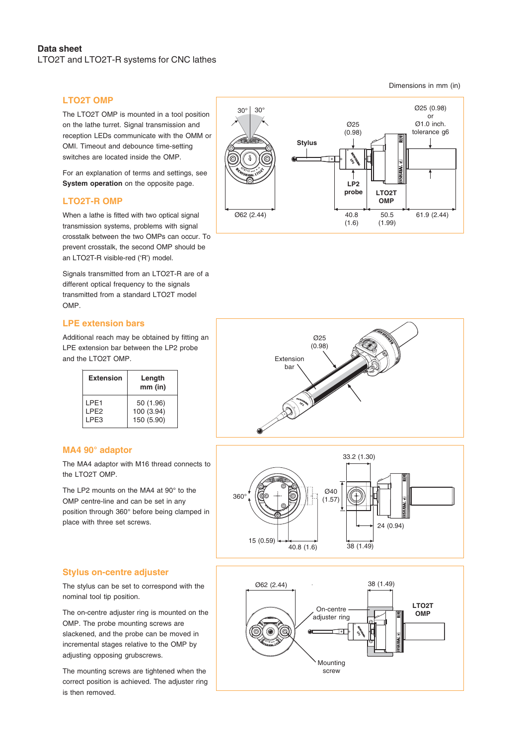## **LTO2T OMP**

The LTO2T OMP is mounted in a tool position on the lathe turret. Signal transmission and reception LEDs communicate with the OMM or OMI. Timeout and debounce time-setting switches are located inside the OMP.

For an explanation of terms and settings, see **System operation** on the opposite page.

## **LTO2T-R OMP**

When a lathe is fitted with two optical signal transmission systems, problems with signal crosstalk between the two OMPs can occur. To prevent crosstalk, the second OMP should be an LTO2T-R visible-red ('R') model.

Signals transmitted from an LTO2T-R are of a different optical frequency to the signals transmitted from a standard LTO2T model OMP.

## **LPE extension bars**

Additional reach may be obtained by fitting an LPE extension bar between the LP2 probe and the LTO2T OMP.

| <b>Extension</b>                     | Length<br>$mm$ (in)     |
|--------------------------------------|-------------------------|
| IPF <sub>1</sub><br>LPE <sub>2</sub> | 50 (1.96)<br>100 (3.94) |
| I PF3                                | 150 (5.90)              |

## **MA4 90° adaptor**

The MA4 adaptor with M16 thread connects to the LTO2T OMP.

The LP2 mounts on the MA4 at 90° to the OMP centre-line and can be set in any position through 360° before being clamped in place with three set screws.









The stylus can be set to correspond with the nominal tool tip position.

The on-centre adjuster ring is mounted on the OMP. The probe mounting screws are slackened, and the probe can be moved in incremental stages relative to the OMP by adjusting opposing grubscrews.

The mounting screws are tightened when the correct position is achieved. The adjuster ring is then removed.



Dimensions in mm (in)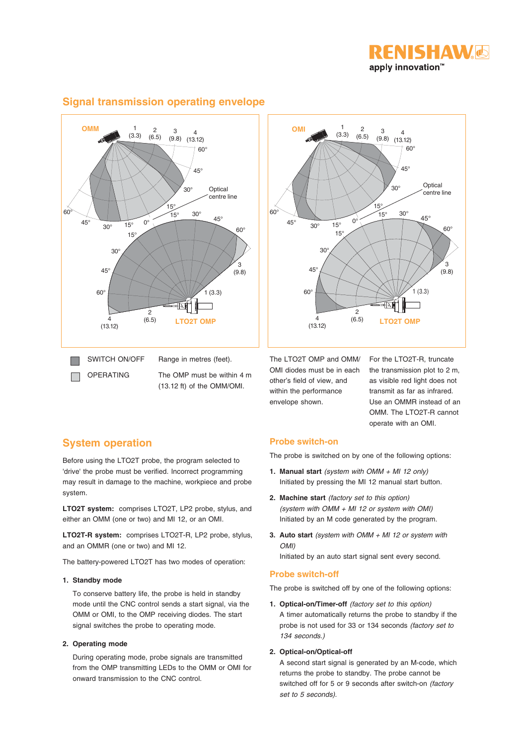



## **Signal transmission operating envelope**



The OMP must be within 4 m (13.12 ft) of the OMM/OMI.

The LTO2T OMP and OMM/ OMI diodes must be in each other's field of view, and within the performance envelope shown.

For the LTO2T-R, truncate the transmission plot to 2 m, as visible red light does not transmit as far as infrared. Use an OMMR instead of an OMM. The LTO2T-R cannot operate with an OMI.

# **System operation**

Before using the LTO2T probe, the program selected to 'drive' the probe must be verified. Incorrect programming may result in damage to the machine, workpiece and probe system.

**LTO2T system:** comprises LTO2T, LP2 probe, stylus, and either an OMM (one or two) and MI 12, or an OMI.

**LTO2T-R system:** comprises LTO2T-R, LP2 probe, stylus, and an OMMR (one or two) and MI 12.

The battery-powered LTO2T has two modes of operation:

#### **1. Standby mode**

To conserve battery life, the probe is held in standby mode until the CNC control sends a start signal, via the OMM or OMI, to the OMP receiving diodes. The start signal switches the probe to operating mode.

## **2. Operating mode**

During operating mode, probe signals are transmitted from the OMP transmitting LEDs to the OMM or OMI for onward transmission to the CNC control.

## **Probe switch-on**

The probe is switched on by one of the following options:

- **1. Manual start** (system with OMM + MI 12 only) Initiated by pressing the MI 12 manual start button.
- **2. Machine start** (factory set to this option) (system with  $OMM + MI$  12 or system with  $OMI$ ) Initiated by an M code generated by the program.
- **3. Auto start** (system with OMM + MI 12 or system with OMI)

Initiated by an auto start signal sent every second.

## **Probe switch-off**

The probe is switched off by one of the following options:

**1. Optical-on/Timer-off** (factory set to this option) A timer automatically returns the probe to standby if the probe is not used for 33 or 134 seconds (factory set to 134 seconds.)

#### **2. Optical-on/Optical-off**

A second start signal is generated by an M-code, which returns the probe to standby. The probe cannot be switched off for 5 or 9 seconds after switch-on (factory set to 5 seconds).